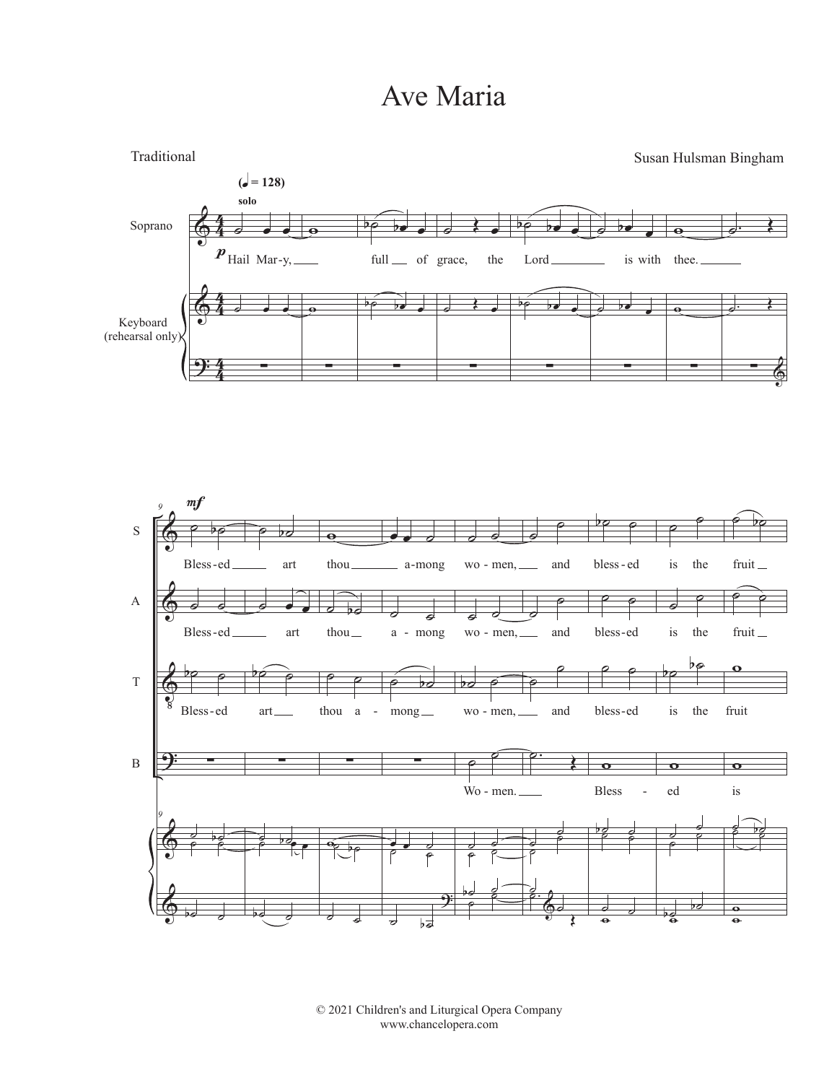## Ave Maria



© 2021 Children's and Liturgical Opera Company www.chancelopera.com